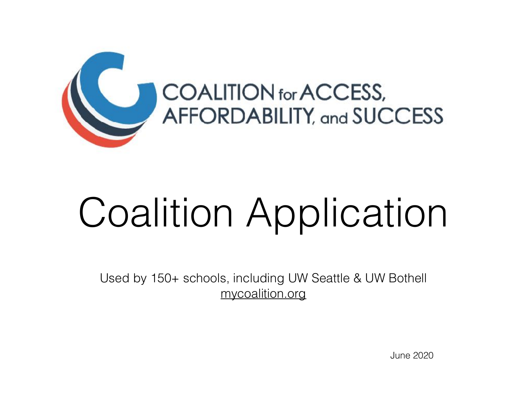

# Coalition Application

Used by 150+ schools, including UW Seattle & UW Bothell [mycoalition.org](http://mycoalition.org)

June 2020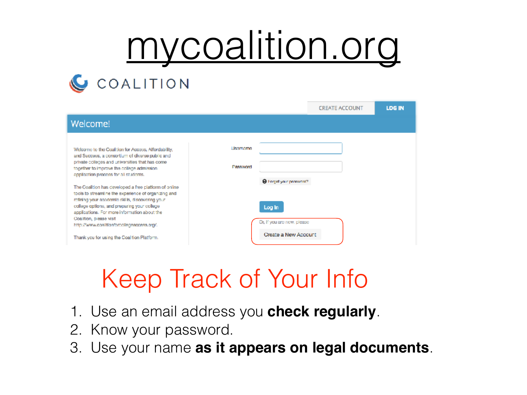## [mycoalition.org](http://mycoalition.org) **C** COALITION

|                                                                                                                                                                  |          | <b>CREATE ACCOUNT</b>                              | <b>LOG IN</b> |
|------------------------------------------------------------------------------------------------------------------------------------------------------------------|----------|----------------------------------------------------|---------------|
| Welcome!                                                                                                                                                         |          |                                                    |               |
| Welcome to the Coalition for Access, Affordability,<br>and Success, a consortium of diverse public and                                                           | Username |                                                    |               |
| private colleges and universities that has come<br>together to improve the college admission.<br>application process for all students.                           | Password |                                                    |               |
| The Coalition has developed a free platform of online<br>tools to streamline the experience of organizing and<br>refining your accdemic skills, discovering your |          | <sup>2</sup> Forget your peasurers?                |               |
| college options, and preparing your college-<br>applications. For more information about the<br>Coalition, please visit                                          | Log In   |                                                    |               |
| http://www.coalitionforcollegeaccess.org/.<br>Thank you for using the Coalition Platform.                                                                        |          | Or, if you are new, please<br>Create a New Account |               |

## Keep Track of Your Info

- 1. Use an email address you **check regularly**.
- 2. Know your password.
- 3. Use your name **as it appears on legal documents**.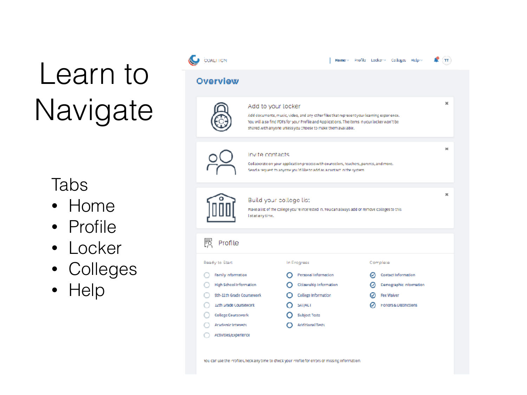## Learn to Navigate

#### Tabs

- Home
- Profile
- Locker
- Colleges
- Help

| COALITION                                                                                                                                                                                     |                                                                                                                                                                                                                                                                                 |  |                                                                                                                                             | Home > Profile Locker > Colleges Help > |   |                   |                                                                                           |  |  |
|-----------------------------------------------------------------------------------------------------------------------------------------------------------------------------------------------|---------------------------------------------------------------------------------------------------------------------------------------------------------------------------------------------------------------------------------------------------------------------------------|--|---------------------------------------------------------------------------------------------------------------------------------------------|-----------------------------------------|---|-------------------|-------------------------------------------------------------------------------------------|--|--|
| <b>Overview</b>                                                                                                                                                                               |                                                                                                                                                                                                                                                                                 |  |                                                                                                                                             |                                         |   |                   |                                                                                           |  |  |
|                                                                                                                                                                                               | Add to your locker<br>Add documents, music, video, and any other files that represent your learning experience.<br>You will also find PDFs for your Profile and Applications. The items in your locker won't be<br>shared with anyone unless you choose to make them available. |  |                                                                                                                                             |                                         |   |                   | ×                                                                                         |  |  |
|                                                                                                                                                                                               | $\approx$<br>Invite contacts<br>Collaborate on your application process with counselors, teachers, parents, and more.<br>Send a request to anyone you'd like to add as a contact in the system.                                                                                 |  |                                                                                                                                             |                                         |   |                   |                                                                                           |  |  |
|                                                                                                                                                                                               | x<br>Build your college list<br>make a list of the college you're interested in, you can always add or remove colleges to this<br>Istatanytine.                                                                                                                                 |  |                                                                                                                                             |                                         |   |                   |                                                                                           |  |  |
| 扊<br>Profile                                                                                                                                                                                  |                                                                                                                                                                                                                                                                                 |  |                                                                                                                                             |                                         |   |                   |                                                                                           |  |  |
| Ready to Start                                                                                                                                                                                |                                                                                                                                                                                                                                                                                 |  | In Progress                                                                                                                                 |                                         |   | Complete          |                                                                                           |  |  |
| <b>Family information</b><br><b>High School Information</b><br>9th-11th Grade Coursework<br>12th Grade Coursework<br>College Coursework<br><b>Academic Interests</b><br>Activities/Experience |                                                                                                                                                                                                                                                                                 |  | Personal Information<br>Citizenship Information<br>College Information<br><b>SAT/ACT</b><br><b>Subject Tests</b><br><b>Additional Tests</b> |                                         | ၑ | <b>Fee Walver</b> | Contact Information<br><b>Comographic information</b><br><b>FOROTS &amp; Distinctions</b> |  |  |
|                                                                                                                                                                                               |                                                                                                                                                                                                                                                                                 |  | You can use the Profile Check any time to check your Profile for errors or missing information.                                             |                                         |   |                   |                                                                                           |  |  |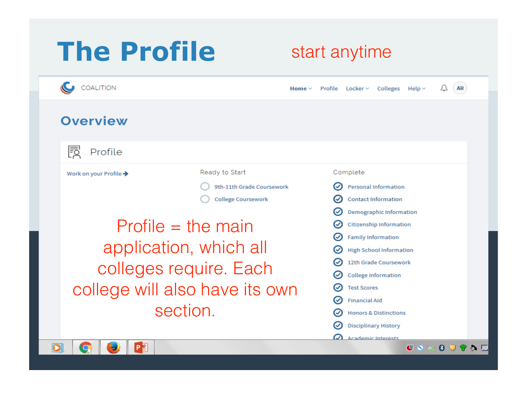### **The Profile**

#### start anytime

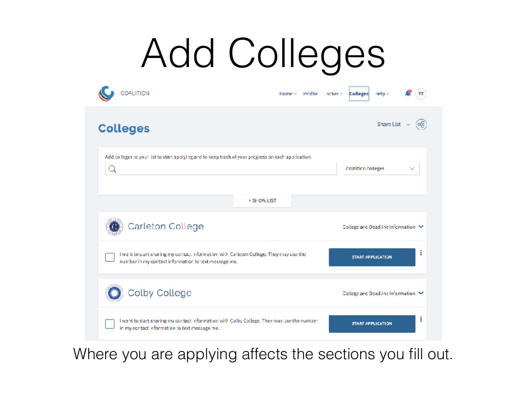# Add Colleges

| COALITION<br>Home $\vee$                                                                                                                       | $\mathsf{Profit} \gets \mathsf{Locker} \times$<br><b>Colleges</b><br>Help ~ |
|------------------------------------------------------------------------------------------------------------------------------------------------|-----------------------------------------------------------------------------|
| <b>Colleges</b>                                                                                                                                | Share List $\rightarrow$<br>်တို့                                           |
| Add colleges to your list to start applying and to keep track of your progress on each application.                                            | Coalition colleges                                                          |
| + SHOW LIST                                                                                                                                    |                                                                             |
| Carleton College                                                                                                                               | College and Deadline Information ~                                          |
| I want to start sharing my contact information with Carleton College. They may use the<br>number in my contact information to text message me. | я<br><b>START APPLICATION</b>                                               |
| Colby College                                                                                                                                  | College and Deadline Information V                                          |
| I want to start sharing my contact information with Colby College. They may use the number<br>in my contact information to text message me.    | Ĩ<br><b>START APPLICATION</b>                                               |

Where you are applying affects the sections you fill out.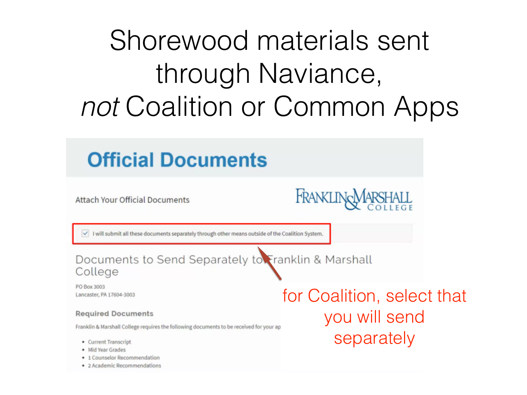## Shorewood materials sent through Naviance, *not* Coalition or Common Apps

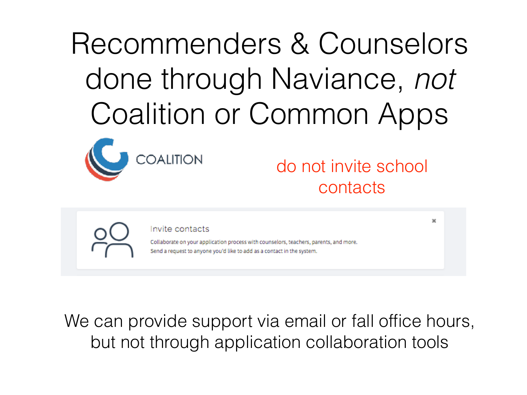Recommenders & Counselors done through Naviance, *not* Coalition or Common Apps



do not invite school contacts

 $\mathbf{x}$ 

Invite contacts

Collaborate on your application process with counselors, teachers, parents, and more. Send a request to anyone you'd like to add as a contact in the system.

We can provide support via email or fall office hours, but not through application collaboration tools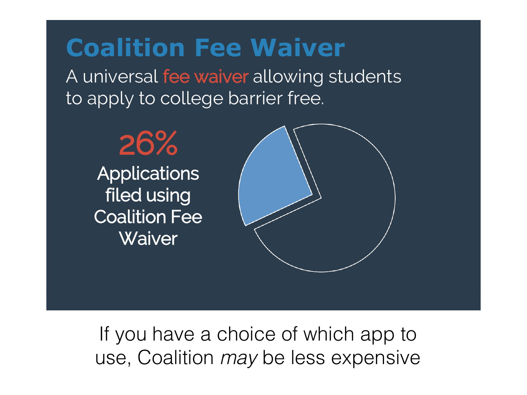### **Coalition Fee Waiver**

A universal fee waiver allowing students to apply to college barrier free.



If you have a choice of which app to use, Coalition *may* be less expensive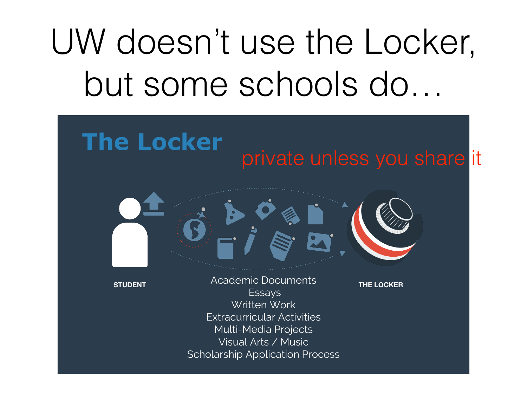## UW doesn't use the Locker, but some schools do…

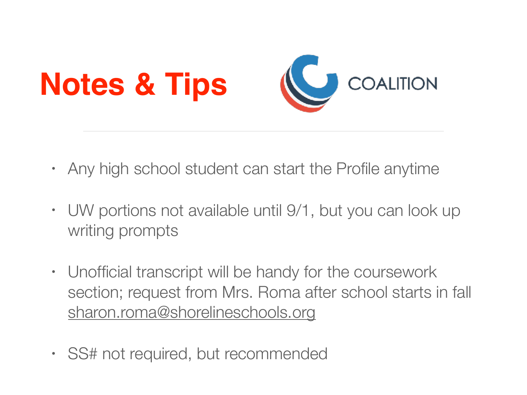

- Any high school student can start the Profile anytime
- UW portions not available until 9/1, but you can look up writing prompts
- Unofficial transcript will be handy for the coursework section; request from Mrs. Roma after school starts in fall [sharon.roma@shorelineschools.org](mailto:sharon.roma@shorelineschools.org)
- SS# not required, but recommended